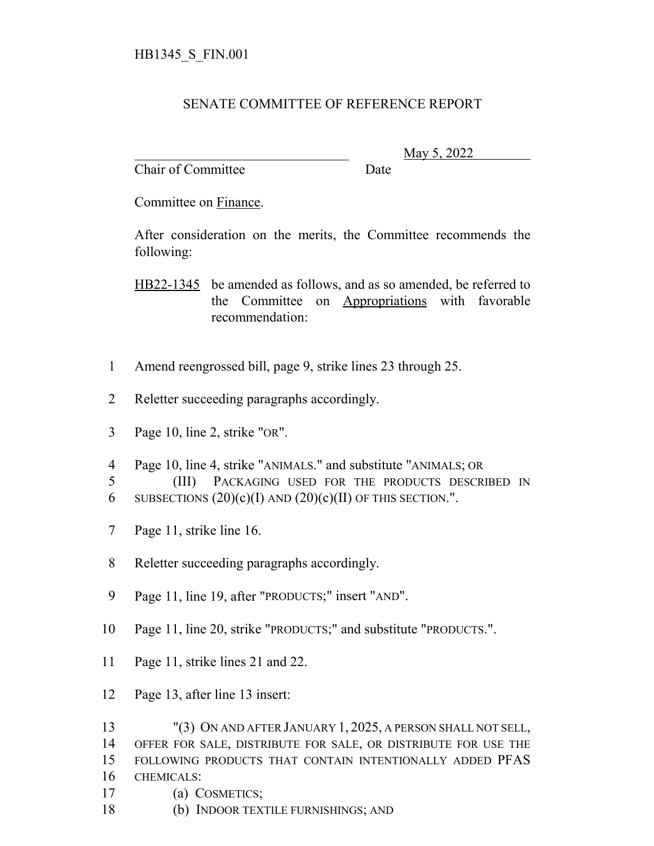## SENATE COMMITTEE OF REFERENCE REPORT

Chair of Committee Date

\_\_\_\_\_\_\_\_\_\_\_\_\_\_\_\_\_\_\_\_\_\_\_\_\_\_\_\_\_\_\_ May 5, 2022

Committee on Finance.

After consideration on the merits, the Committee recommends the following:

HB22-1345 be amended as follows, and as so amended, be referred to the Committee on Appropriations with favorable recommendation:

- Amend reengrossed bill, page 9, strike lines 23 through 25.
- Reletter succeeding paragraphs accordingly.
- Page 10, line 2, strike "OR".
- Page 10, line 4, strike "ANIMALS." and substitute "ANIMALS; OR
- (III) PACKAGING USED FOR THE PRODUCTS DESCRIBED IN
- 6 SUBSECTIONS  $(20)(c)(I)$  AND  $(20)(c)(II)$  OF THIS SECTION.".
- Page 11, strike line 16.
- Reletter succeeding paragraphs accordingly.
- Page 11, line 19, after "PRODUCTS;" insert "AND".
- Page 11, line 20, strike "PRODUCTS;" and substitute "PRODUCTS.".
- Page 11, strike lines 21 and 22.
- Page 13, after line 13 insert:
- "(3) ON AND AFTER JANUARY 1, 2025, A PERSON SHALL NOT SELL, OFFER FOR SALE, DISTRIBUTE FOR SALE, OR DISTRIBUTE FOR USE THE FOLLOWING PRODUCTS THAT CONTAIN INTENTIONALLY ADDED PFAS
- CHEMICALS:
- (a) COSMETICS;
- (b) INDOOR TEXTILE FURNISHINGS; AND